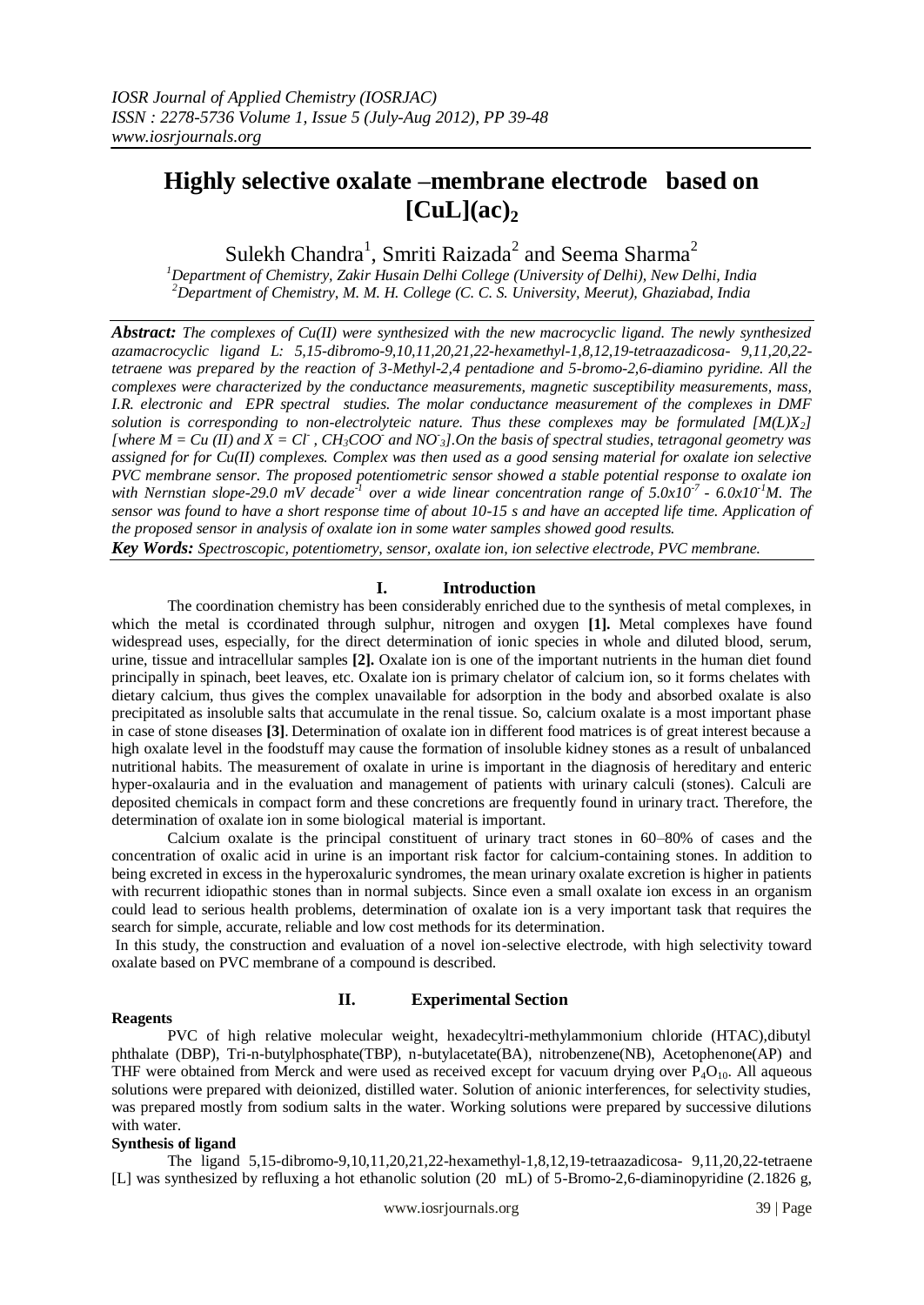# **Highly selective oxalate –membrane electrode based on**   $\lbrack \text{CuL} \rbrack (ac)_2$

Sulekh Chandra $^1$ , Smriti Raizada $^2$  and Seema Sharma $^2$ 

*<sup>1</sup>Department of Chemistry, Zakir Husain Delhi College (University of Delhi), New Delhi, India <sup>2</sup>Department of Chemistry, M. M. H. College (C. C. S. University, Meerut), Ghaziabad, India*

*Abstract: The complexes of Cu(II) were synthesized with the new macrocyclic ligand. The newly synthesized azamacrocyclic ligand L: 5,15-dibromo-9,10,11,20,21,22-hexamethyl-1,8,12,19-tetraazadicosa- 9,11,20,22 tetraene was prepared by the reaction of 3-Methyl-2,4 pentadione and 5-bromo-2,6-diamino pyridine. All the complexes were characterized by the conductance measurements, magnetic susceptibility measurements, mass, I.R. electronic and EPR spectral studies. The molar conductance measurement of the complexes in DMF solution is corresponding to non-electrolyteic nature. Thus these complexes may be formulated [M(L)X2]*  [where  $M = Cu (II)$  and  $\overline{X} = Cl$ ,  $CH_3COO^*$  and  $NO_3$ ]. On the basis of spectral studies, tetragonal geometry was *assigned for for Cu(II) complexes. Complex was then used as a good sensing material for oxalate ion selective PVC membrane sensor. The proposed potentiometric sensor showed a stable potential response to oxalate ion with Nernstian slope-29.0 mV decade<sup>21</sup> over a wide linear concentration range of 5.0x10<sup>-7</sup> - 6.0x10<sup>-1</sup>M. The sensor was found to have a short response time of about 10-15 s and have an accepted life time. Application of the proposed sensor in analysis of oxalate ion in some water samples showed good results. Key Words: Spectroscopic, potentiometry, sensor, oxalate ion, ion selective electrode, PVC membrane.*

# **I. Introduction**

The coordination chemistry has been considerably enriched due to the synthesis of metal complexes, in which the metal is coordinated through sulphur, nitrogen and oxygen [1]. Metal complexes have found widespread uses, especially, for the direct determination of ionic species in whole and diluted blood, serum, urine, tissue and intracellular samples **[2].** Oxalate ion is one of the important nutrients in the human diet found principally in spinach, beet leaves, etc. Oxalate ion is primary chelator of calcium ion, so it forms chelates with dietary calcium, thus gives the complex unavailable for adsorption in the body and absorbed oxalate is also precipitated as insoluble salts that accumulate in the renal tissue. So, calcium oxalate is a most important phase in case of stone diseases **[3]**. Determination of oxalate ion in different food matrices is of great interest because a high oxalate level in the foodstuff may cause the formation of insoluble kidney stones as a result of unbalanced nutritional habits. The measurement of oxalate in urine is important in the diagnosis of hereditary and enteric hyper-oxalauria and in the evaluation and management of patients with urinary calculi (stones). Calculi are deposited chemicals in compact form and these concretions are frequently found in urinary tract. Therefore, the determination of oxalate ion in some biological material is important.

Calcium oxalate is the principal constituent of urinary tract stones in 60–80% of cases and the concentration of oxalic acid in urine is an important risk factor for calcium-containing stones. In addition to being excreted in excess in the hyperoxaluric syndromes, the mean urinary oxalate excretion is higher in patients with recurrent idiopathic stones than in normal subjects. Since even a small oxalate ion excess in an organism could lead to serious health problems, determination of oxalate ion is a very important task that requires the search for simple, accurate, reliable and low cost methods for its determination.

In this study, the construction and evaluation of a novel ion-selective electrode, with high selectivity toward oxalate based on PVC membrane of a compound is described.

## **Reagents**

# **II. Experimental Section**

PVC of high relative molecular weight, hexadecyltri-methylammonium chloride (HTAC),dibutyl phthalate (DBP), Tri-n-butylphosphate(TBP), n-butylacetate(BA), nitrobenzene(NB), Acetophenone(AP) and THF were obtained from Merck and were used as received except for vacuum drying over  $P_4O_{10}$ . All aqueous solutions were prepared with deionized, distilled water. Solution of anionic interferences, for selectivity studies, was prepared mostly from sodium salts in the water. Working solutions were prepared by successive dilutions with water.

# **Synthesis of ligand**

The ligand 5,15-dibromo-9,10,11,20,21,22-hexamethyl-1,8,12,19-tetraazadicosa- 9,11,20,22-tetraene [L] was synthesized by refluxing a hot ethanolic solution (20 mL) of 5-Bromo-2,6-diaminopyridine (2.1826 g,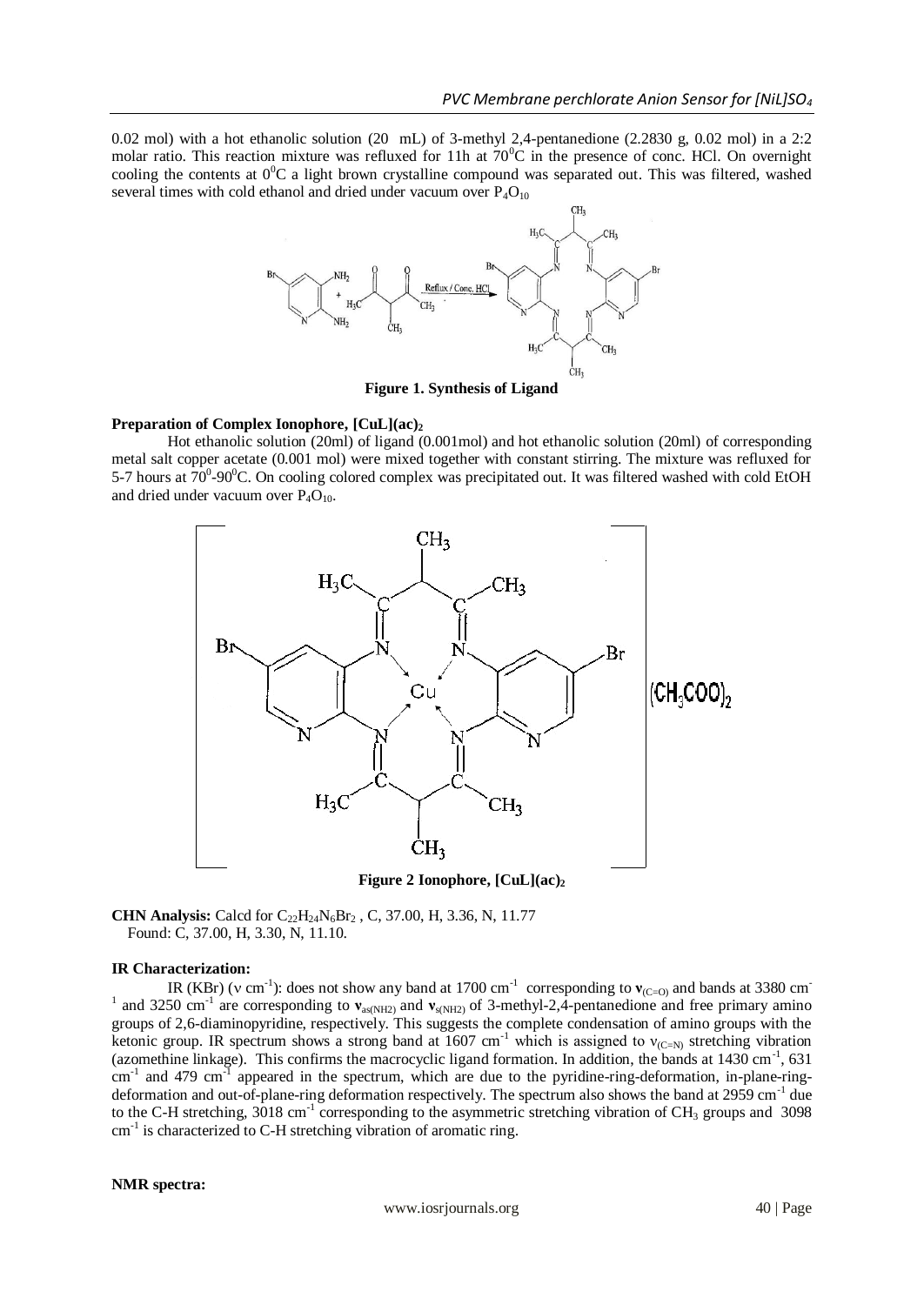0.02 mol) with a hot ethanolic solution (20 mL) of 3-methyl 2,4-pentanedione (2.2830 g, 0.02 mol) in a 2:2 molar ratio. This reaction mixture was refluxed for 11h at  $70^{\circ}$ C in the presence of conc. HCl. On overnight cooling the contents at  $0^{\circ}$ C a light brown crystalline compound was separated out. This was filtered, washed several times with cold ethanol and dried under vacuum over  $P_4O_{10}$ 



**Figure 1. Synthesis of Ligand**

## **Preparation of Complex Ionophore, [CuL](ac)<sup>2</sup>**

Hot ethanolic solution (20ml) of ligand (0.001mol) and hot ethanolic solution (20ml) of corresponding metal salt copper acetate (0.001 mol) were mixed together with constant stirring. The mixture was refluxed for 5-7 hours at  $70^{\circ}$ -90 $^{\circ}$ C. On cooling colored complex was precipitated out. It was filtered washed with cold EtOH and dried under vacuum over  $P_4O_{10}$ .



**Figure 2 Ionophore, [CuL](ac)<sup>2</sup>**

**CHN Analysis:** Calcd for C<sub>22</sub>H<sub>24</sub>N<sub>6</sub>Br<sub>2</sub>, C, 37.00, H, 3.36, N, 11.77 Found: C, 37.00, H, 3.30, N, 11.10.

## **IR Characterization:**

IR (KBr) ( $v \text{ cm}^{-1}$ ): does not show any band at 1700 cm<sup>-1</sup> corresponding to  $v_{(C=0)}$  and bands at 3380 cm<sup>-1</sup> <sup>1</sup> and 3250 cm<sup>-1</sup> are corresponding to  $v_{as(NH2)}$  and  $v_{s(NH2)}$  of 3-methyl-2,4-pentanedione and free primary amino groups of 2,6-diaminopyridine, respectively. This suggests the complete condensation of amino groups with the ketonic group. IR spectrum shows a strong band at 1607 cm<sup>-1</sup> which is assigned to  $v_{(C=N)}$  stretching vibration (azomethine linkage). This confirms the macrocyclic ligand formation. In addition, the bands at 1430 cm<sup>-1</sup>, 631  $\text{cm}^{-1}$  and 479  $\text{cm}^{-1}$  appeared in the spectrum, which are due to the pyridine-ring-deformation, in-plane-ringdeformation and out-of-plane-ring deformation respectively. The spectrum also shows the band at 2959 cm<sup>-1</sup> due to the C-H stretching,  $3018 \text{ cm}^{-1}$  corresponding to the asymmetric stretching vibration of CH<sub>3</sub> groups and 3098 cm<sup>-1</sup> is characterized to C-H stretching vibration of aromatic ring.

## **NMR spectra:**

www.iosrjournals.org 40 | Page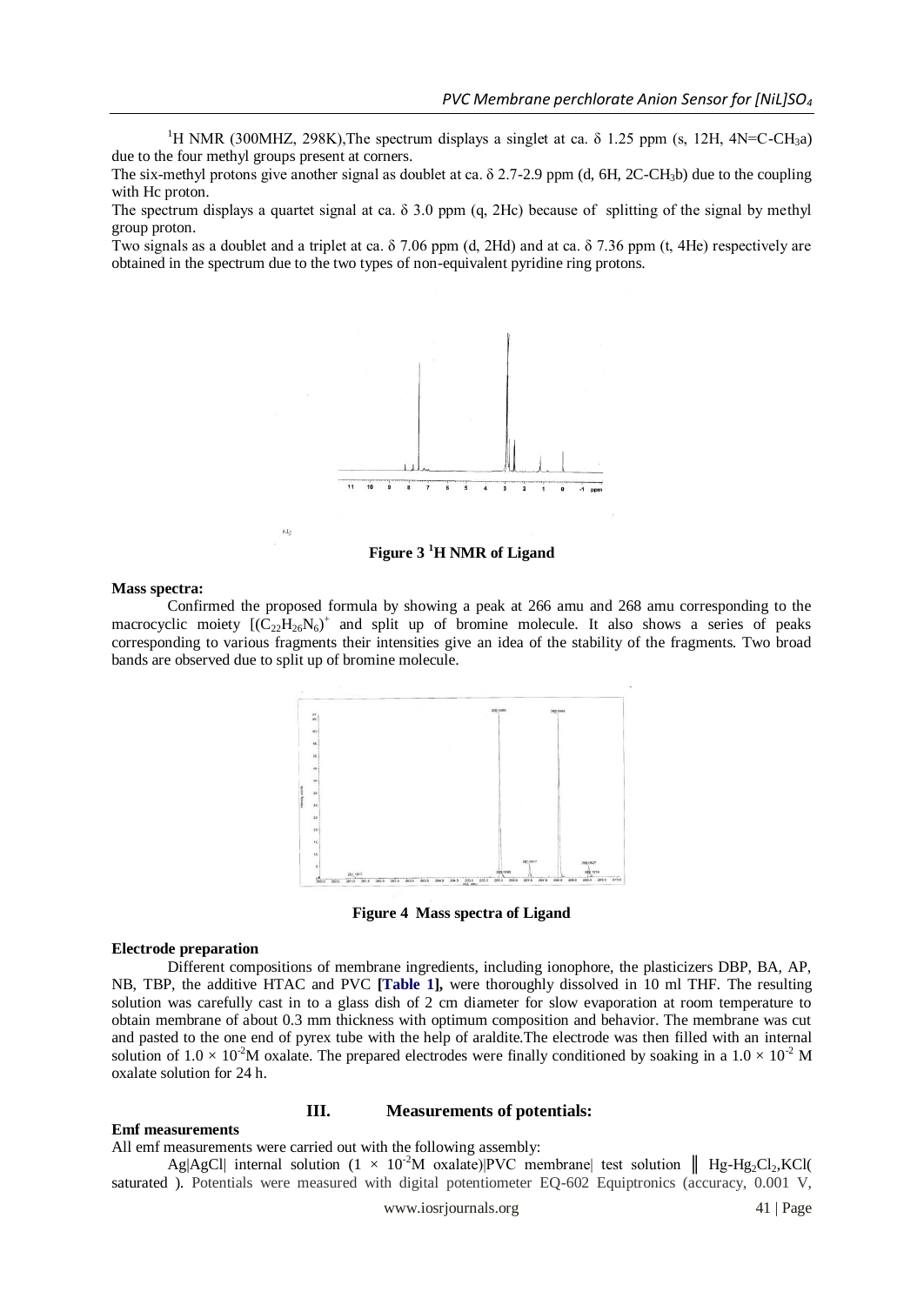<sup>1</sup>H NMR (300MHZ, 298K),The spectrum displays a singlet at ca.  $\delta$  1.25 ppm (s, 12H, 4N=C-CH<sub>3</sub>a) due to the four methyl groups present at corners.

The six-methyl protons give another signal as doublet at ca. δ 2.7-2.9 ppm (d, 6H, 2C-CH3b) due to the coupling with Hc proton.

The spectrum displays a quartet signal at ca.  $\delta$  3.0 ppm (q, 2Hc) because of splitting of the signal by methyl group proton.

Two signals as a doublet and a triplet at ca. δ 7.06 ppm (d, 2Hd) and at ca. δ 7.36 ppm (t, 4He) respectively are obtained in the spectrum due to the two types of non-equivalent pyridine ring protons.



**Figure 3 <sup>1</sup>H NMR of Ligand**

#### **Mass spectra:**

KL<sub>3</sub>

Confirmed the proposed formula by showing a peak at 266 amu and 268 amu corresponding to the macrocyclic moiety  $[(C_{22}H_{26}N_6)^+$  and split up of bromine molecule. It also shows a series of peaks corresponding to various fragments their intensities give an idea of the stability of the fragments. Two broad bands are observed due to split up of bromine molecule.



**Figure 4 Mass spectra of Ligand**

#### **Electrode preparation**

Different compositions of membrane ingredients, including ionophore, the plasticizers DBP, BA, AP, NB, TBP, the additive HTAC and PVC **[Table 1],** were thoroughly dissolved in 10 ml THF. The resulting solution was carefully cast in to a glass dish of 2 cm diameter for slow evaporation at room temperature to obtain membrane of about 0.3 mm thickness with optimum composition and behavior. The membrane was cut and pasted to the one end of pyrex tube with the help of araldite.The electrode was then filled with an internal solution of  $1.0 \times 10^{-2}$ M oxalate. The prepared electrodes were finally conditioned by soaking in a  $1.0 \times 10^{-2}$  M oxalate solution for 24 h.

# **III. Measurements of potentials:**

## **Emf measurements**

## All emf measurements were carried out with the following assembly:

Ag|AgCl| internal solution  $(1 \times 10^{-2}M)$  oxalate)|PVC membrane| test solution || Hg-Hg<sub>2</sub>Cl<sub>2</sub>,KCl( saturated ). Potentials were measured with digital potentiometer EQ-602 Equiptronics (accuracy, 0.001 V,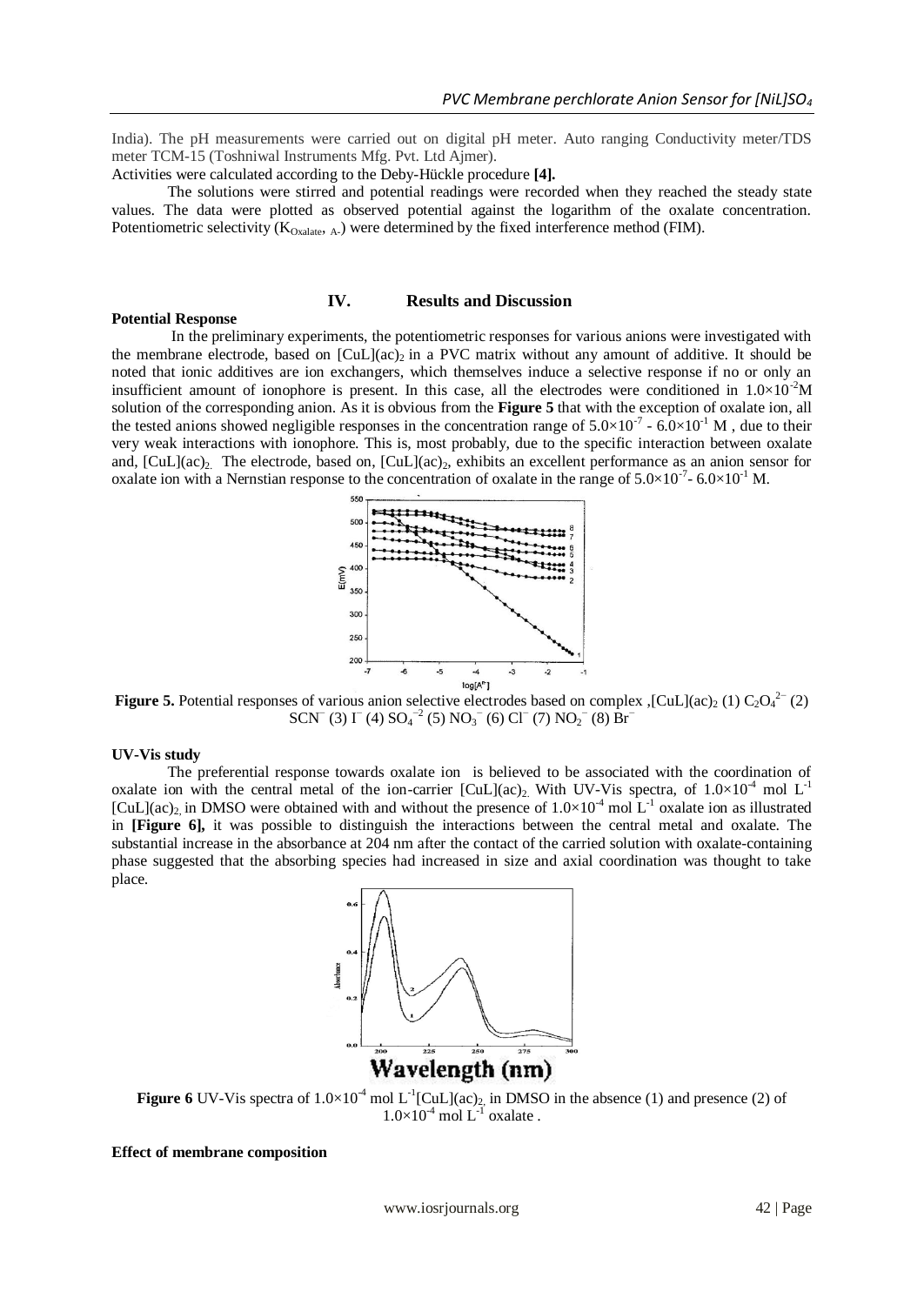India). The pH measurements were carried out on digital pH meter. Auto ranging Conductivity meter/TDS meter TCM-15 (Toshniwal Instruments Mfg. Pvt. Ltd Ajmer).

Activities were calculated according to the Deby-Hückle procedure **[4].**

The solutions were stirred and potential readings were recorded when they reached the steady state values. The data were plotted as observed potential against the logarithm of the oxalate concentration. Potentiometric selectivity  $(K_{Oxalate, A})$  were determined by the fixed interference method (FIM).

# **IV. Results and Discussion**

#### **Potential Response**

In the preliminary experiments, the potentiometric responses for various anions were investigated with the membrane electrode, based on  $\lbrack\text{CuL} \rbrack (ac)_2$  in a PVC matrix without any amount of additive. It should be noted that ionic additives are ion exchangers, which themselves induce a selective response if no or only an insufficient amount of ionophore is present. In this case, all the electrodes were conditioned in  $1.0\times10^{-2}$ M solution of the corresponding anion. As it is obvious from the **Figure 5** that with the exception of oxalate ion, all the tested anions showed negligible responses in the concentration range of  $5.0 \times 10^{-7}$  -  $6.0 \times 10^{-1}$  M, due to their very weak interactions with ionophore. This is, most probably, due to the specific interaction between oxalate and,  $[CuL](ac)_2$ . The electrode, based on,  $[CuL](ac)_2$ , exhibits an excellent performance as an anion sensor for oxalate ion with a Nernstian response to the concentration of oxalate in the range of  $5.0 \times 10^{-7}$  –  $6.0 \times 10^{-1}$  M.



**Figure 5.** Potential responses of various anion selective electrodes based on complex ,[CuL](ac)<sub>2</sub> (1) C<sub>2</sub>O<sub>4</sub><sup>2-</sup> (2) SCN<sup>−</sup> (3) I<sup>−</sup> (4) SO<sub>4</sub><sup>-2</sup> (5) NO<sub>3</sub><sup>−</sup> (6) Cl<sup>−</sup> (7) NO<sub>2</sub><sup>−</sup> (8) Br<sup>−</sup>

## **UV-Vis study**

The preferential response towards oxalate ion is believed to be associated with the coordination of oxalate ion with the central metal of the ion-carrier [CuL](ac)<sub>2</sub>. With UV-Vis spectra, of  $1.0 \times 10^{-4}$  mol L<sup>-1</sup> [CuL](ac)<sub>2</sub> in DMSO were obtained with and without the presence of  $1.0 \times 10^{-4}$  mol L<sup>-1</sup> oxalate ion as illustrated in **[Figure 6],** it was possible to distinguish the interactions between the central metal and oxalate. The substantial increase in the absorbance at 204 nm after the contact of the carried solution with oxalate-containing phase suggested that the absorbing species had increased in size and axial coordination was thought to take place.



**Figure 6** UV-Vis spectra of  $1.0 \times 10^{-4}$  mol L<sup>-1</sup>[CuL](ac)<sub>2</sub>, in DMSO in the absence (1) and presence (2) of  $1.0\times10^{-4}$  mol L<sup>-1</sup> oxalate.

#### **Effect of membrane composition**

www.iosrjournals.org 42 | Page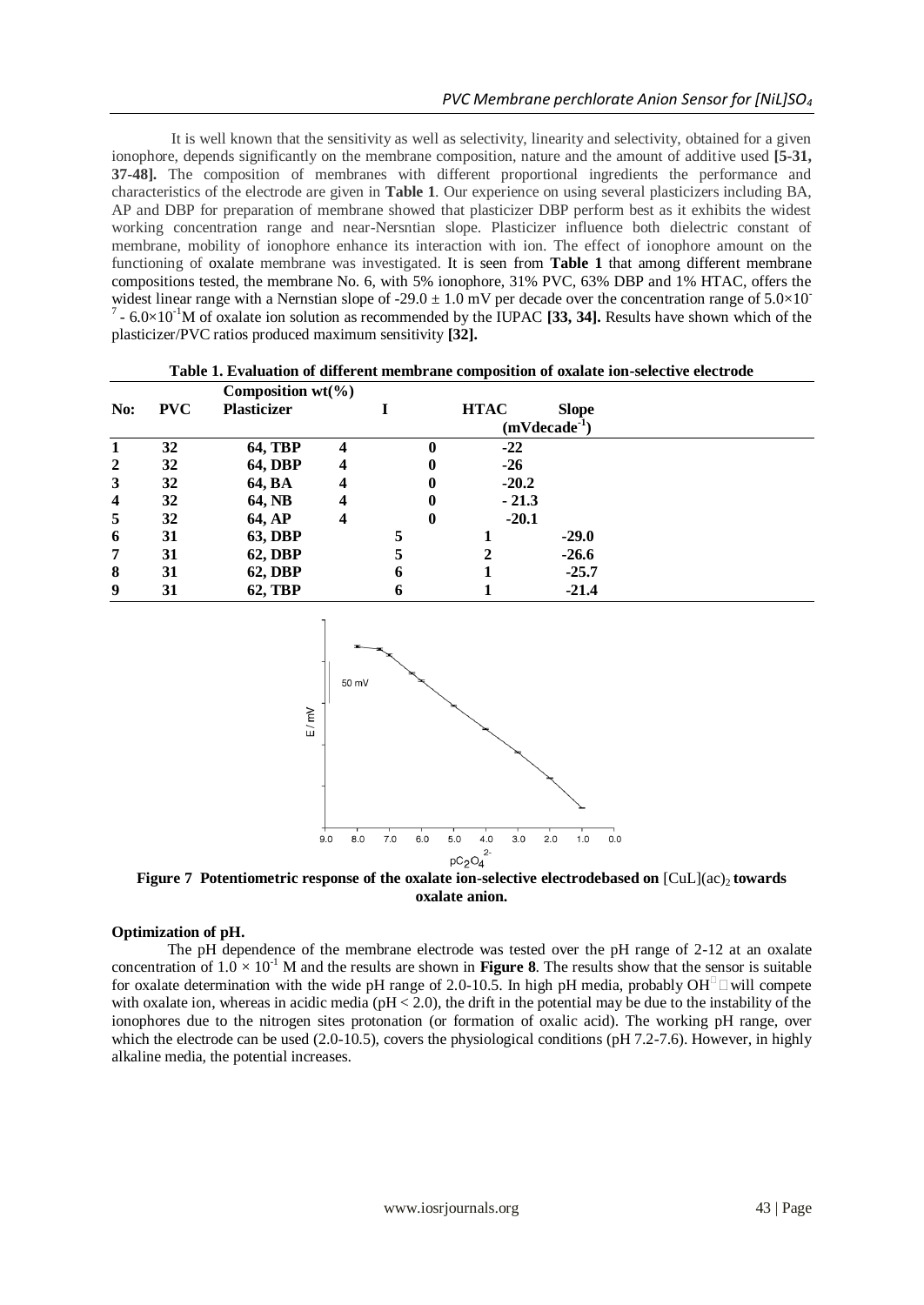It is well known that the sensitivity as well as selectivity, linearity and selectivity, obtained for a given ionophore, depends significantly on the membrane composition, nature and the amount of additive used **[5-31, 37-48].** The composition of membranes with different proportional ingredients the performance and characteristics of the electrode are given in **Table 1**. Our experience on using several plasticizers including BA, AP and DBP for preparation of membrane showed that plasticizer DBP perform best as it exhibits the widest working concentration range and near-Nersntian slope. Plasticizer influence both dielectric constant of membrane, mobility of ionophore enhance its interaction with ion. The effect of ionophore amount on the functioning of oxalate membrane was investigated. It is seen from **Table 1** that among different membrane compositions tested, the membrane No. 6, with 5% ionophore, 31% PVC, 63% DBP and 1% HTAC, offers the widest linear range with a Nernstian slope of -29.0  $\pm$  1.0 mV per decade over the concentration range of 5.0 $\times$ 10<sup>-</sup>  $^7$  - 6.0×10<sup>-1</sup>M of oxalate ion solution as recommended by the IUPAC [33, 34]. Results have shown which of the plasticizer/PVC ratios produced maximum sensitivity **[32].**

|                         |            | Composition $wt(\%)$ |   |   |   |                |              |  |
|-------------------------|------------|----------------------|---|---|---|----------------|--------------|--|
| No:                     | <b>PVC</b> | <b>Plasticizer</b>   |   |   |   | <b>HTAC</b>    | <b>Slope</b> |  |
|                         |            |                      |   |   |   | $(mVdecade-1)$ |              |  |
|                         | 32         | <b>64, TBP</b>       | 4 |   | 0 | $-22$          |              |  |
| $\overline{2}$          | 32         | <b>64, DBP</b>       | 4 |   | 0 | $-26$          |              |  |
| 3                       | 32         | 64, BA               |   |   | 0 | $-20.2$        |              |  |
| $\overline{\mathbf{4}}$ | 32         | 64, NB               |   |   | 0 | $-21.3$        |              |  |
| 5                       | 32         | 64, AP               | 4 |   | 0 | $-20.1$        |              |  |
| 6                       | 31         | <b>63, DBP</b>       |   | 5 |   |                | $-29.0$      |  |
| 7                       | 31         | <b>62, DBP</b>       |   |   |   |                | $-26.6$      |  |
| 8                       | 31         | <b>62, DBP</b>       |   | 6 |   |                | $-25.7$      |  |
| 9                       | 31         | <b>62, TBP</b>       |   | 6 |   |                | $-21.4$      |  |

**Table 1. Evaluation of different membrane composition of oxalate ion-selective electrode**



**Figure 7 Potentiometric response of the oxalate ion-selective electrodebased on**  $\lbrack \text{CuL} \rbrack (ac)$  **towards oxalate anion.**

# **Optimization of pH.**

The pH dependence of the membrane electrode was tested over the pH range of 2-12 at an oxalate concentration of  $1.0 \times 10^{-1}$  M and the results are shown in **Figure 8**. The results show that the sensor is suitable for oxalate determination with the wide pH range of 2.0-10.5. In high pH media, probably OH<sup> $\Box$ </sup> will compete with oxalate ion, whereas in acidic media ( $pH < 2.0$ ), the drift in the potential may be due to the instability of the ionophores due to the nitrogen sites protonation (or formation of oxalic acid). The working pH range, over which the electrode can be used (2.0-10.5), covers the physiological conditions (pH 7.2-7.6). However, in highly alkaline media, the potential increases.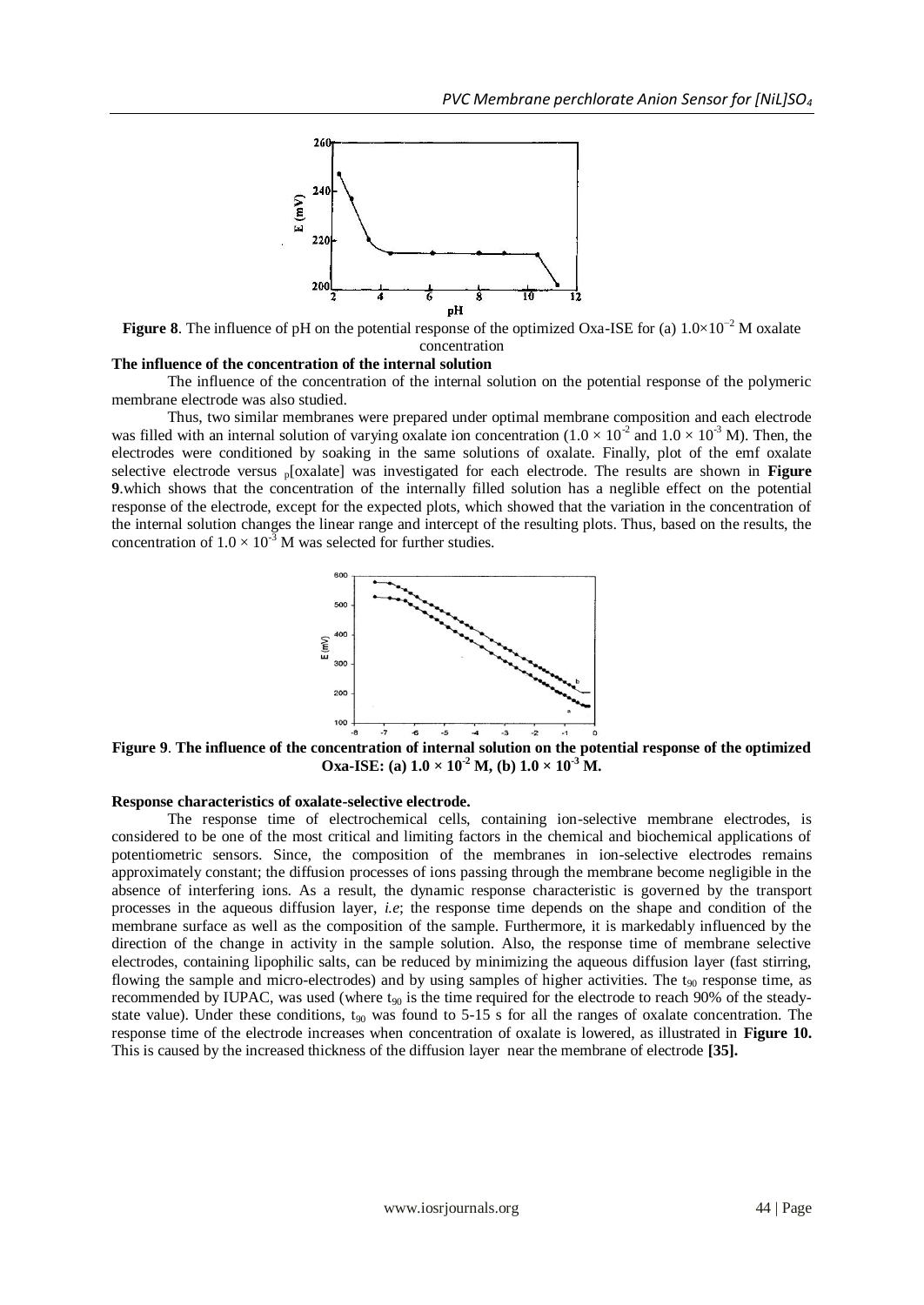

**Figure 8**. The influence of pH on the potential response of the optimized Oxa-ISE for (a) 1.0×10−2 M oxalate concentration

#### **The influence of the concentration of the internal solution**

The influence of the concentration of the internal solution on the potential response of the polymeric membrane electrode was also studied.

Thus, two similar membranes were prepared under optimal membrane composition and each electrode was filled with an internal solution of varying oxalate ion concentration  $(1.0 \times 10^{-2} \text{ and } 1.0 \times 10^{-3} \text{ M})$ . Then, the electrodes were conditioned by soaking in the same solutions of oxalate. Finally, plot of the emf oxalate selective electrode versus p[oxalate] was investigated for each electrode. The results are shown in **Figure 9**.which shows that the concentration of the internally filled solution has a neglible effect on the potential response of the electrode, except for the expected plots, which showed that the variation in the concentration of the internal solution changes the linear range and intercept of the resulting plots. Thus, based on the results, the concentration of  $1.0 \times 10^{-3}$  M was selected for further studies.



**Figure 9**. **The influence of the concentration of internal solution on the potential response of the optimized Oxa-ISE:** (a)  $1.0 \times 10^{-2}$  **M**, (b)  $1.0 \times 10^{-3}$  **M**.

# **Response characteristics of oxalate-selective electrode.**

The response time of electrochemical cells, containing ion-selective membrane electrodes, is considered to be one of the most critical and limiting factors in the chemical and biochemical applications of potentiometric sensors. Since, the composition of the membranes in ion-selective electrodes remains approximately constant; the diffusion processes of ions passing through the membrane become negligible in the absence of interfering ions. As a result, the dynamic response characteristic is governed by the transport processes in the aqueous diffusion layer, *i.e*; the response time depends on the shape and condition of the membrane surface as well as the composition of the sample. Furthermore, it is markedably influenced by the direction of the change in activity in the sample solution. Also, the response time of membrane selective electrodes, containing lipophilic salts, can be reduced by minimizing the aqueous diffusion layer (fast stirring, flowing the sample and micro-electrodes) and by using samples of higher activities. The  $t_{90}$  response time, as recommended by IUPAC, was used (where  $t_{90}$  is the time required for the electrode to reach 90% of the steadystate value). Under these conditions,  $t_{90}$  was found to 5-15 s for all the ranges of oxalate concentration. The response time of the electrode increases when concentration of oxalate is lowered, as illustrated in **Figure 10.** This is caused by the increased thickness of the diffusion layer near the membrane of electrode **[35].**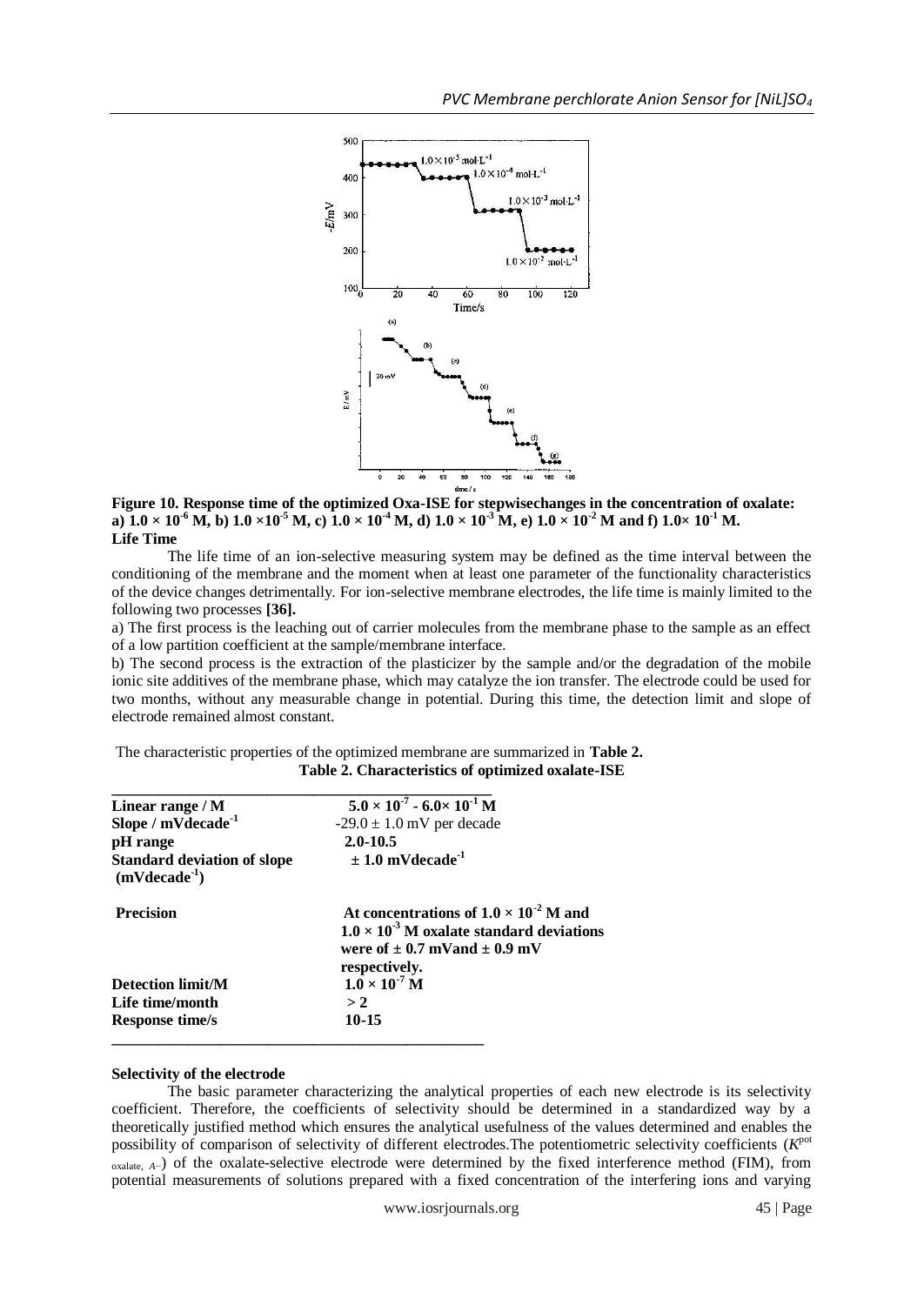

**Figure 10. Response time of the optimized Oxa-ISE for stepwisechanges in the concentration of oxalate: a**)  $1.0 \times 10^{-6}$  M, b)  $1.0 \times 10^{-5}$  M, c)  $1.0 \times 10^{-4}$  M, d)  $1.0 \times 10^{-3}$  M, e)  $1.0 \times 10^{-2}$  M and f)  $1.0 \times 10^{-1}$  M. **Life Time**

The life time of an ion-selective measuring system may be defined as the time interval between the conditioning of the membrane and the moment when at least one parameter of the functionality characteristics of the device changes detrimentally. For ion-selective membrane electrodes, the life time is mainly limited to the following two processes **[36].**

a) The first process is the leaching out of carrier molecules from the membrane phase to the sample as an effect of a low partition coefficient at the sample/membrane interface.

b) The second process is the extraction of the plasticizer by the sample and/or the degradation of the mobile ionic site additives of the membrane phase, which may catalyze the ion transfer. The electrode could be used for two months, without any measurable change in potential. During this time, the detection limit and slope of electrode remained almost constant.

The characteristic properties of the optimized membrane are summarized in **Table 2. Table 2. Characteristics of optimized oxalate-ISE**

| Linear range / M                                     | $5.0 \times 10^{-7}$ - 6.0 $\times 10^{-1}$ M                                                                                                                  |
|------------------------------------------------------|----------------------------------------------------------------------------------------------------------------------------------------------------------------|
| Slope / mVdecade <sup>-1</sup>                       | $-29.0 \pm 1.0$ mV per decade                                                                                                                                  |
| pH range                                             | $2.0 - 10.5$                                                                                                                                                   |
| <b>Standard deviation of slope</b><br>$(mVdecade-1)$ | $\pm 1.0$ mVdecade <sup>-1</sup>                                                                                                                               |
| <b>Precision</b>                                     | At concentrations of $1.0 \times 10^{-2}$ M and<br>$1.0 \times 10^{-3}$ M oxalate standard deviations<br>were of $\pm$ 0.7 mVand $\pm$ 0.9 mV<br>respectively. |
| <b>Detection limit/M</b>                             | $1.0 \times 10^{-7}$ M                                                                                                                                         |
| Life time/month                                      | >2                                                                                                                                                             |
| <b>Response time/s</b>                               | $10 - 15$                                                                                                                                                      |

#### **Selectivity of the electrode**

The basic parameter characterizing the analytical properties of each new electrode is its selectivity coefficient. Therefore, the coefficients of selectivity should be determined in a standardized way by a theoretically justified method which ensures the analytical usefulness of the values determined and enables the possibility of comparison of selectivity of different electrodes. The potentiometric selectivity coefficients (*K*<sup>pot</sup> oxalate*, A*−) of the oxalate-selective electrode were determined by the fixed interference method (FIM), from potential measurements of solutions prepared with a fixed concentration of the interfering ions and varying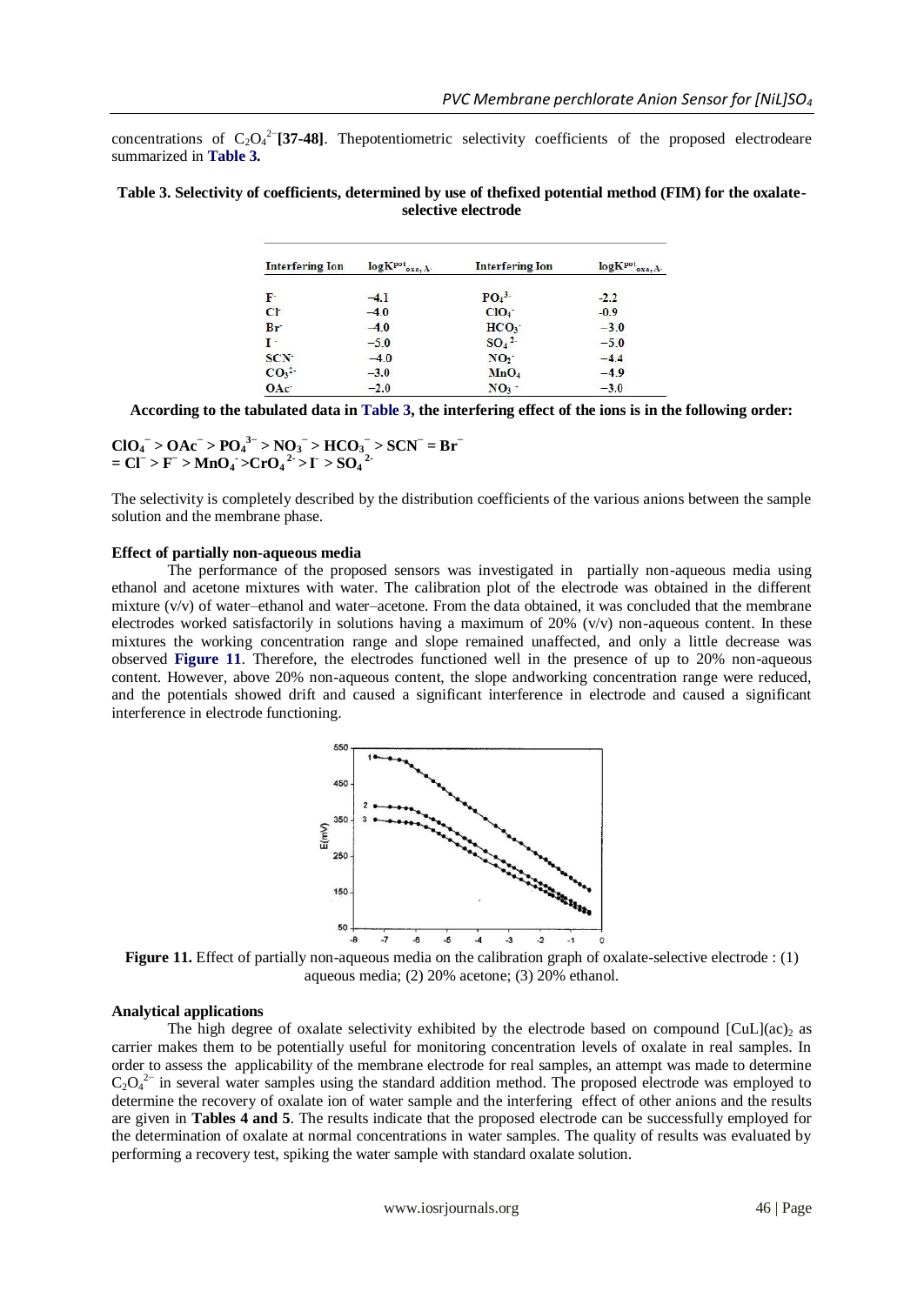concentrations of  $C_2O_4^2$ <sup>-</sup>[37-48]. Thepotentiometric selectivity coefficients of the proposed electrodeare summarized in **Table 3.**

| Table 3. Selectivity of coefficients, determined by use of thefixed potential method (FIM) for the oxalate- |  |
|-------------------------------------------------------------------------------------------------------------|--|
| selective electrode                                                                                         |  |

| <b>Interfering Ion</b>       | logKpot<br>oxa. A- | <b>Interfering Ion</b> | logKpot<br>oxa.A |
|------------------------------|--------------------|------------------------|------------------|
| F                            | $-4.1$             | $PO4$ <sup>3</sup>     | $-2.2$           |
| C <sub>l</sub>               | $-4.0$             | ClO <sub>4</sub>       | $-0.9$           |
| Br                           | $-4.0$             | HCO <sub>3</sub> -     | $-3.0$           |
| $\mathbf{I}$                 | $-5.0$             | $SO_4^2$               | $-5.0$           |
| SCN                          | $-4.0$             | NO <sub>2</sub>        | $-4.4$           |
| CO <sub>3</sub> <sup>2</sup> | $-3.0$             | MnO <sub>4</sub>       | $-4.9$           |
| OAc                          | $-2.0$             | NO <sub>3</sub>        | $-3.0$           |

**According to the tabulated data in Table 3, the interfering effect of the ions is in the following order:**

 $\text{ClO}_4^-$  >  $\text{OAc}^-$  >  $\text{PO}_4^{3-}$  >  $\text{NO}_3^-$  >  $\text{HCO}_3^-$  >  $\text{SCN}^-$  =  $\text{Br}^ = CI^- > F^- > MnO_4 > CrO_4^2 > I > SO_4^2$ 

The selectivity is completely described by the distribution coefficients of the various anions between the sample solution and the membrane phase.

#### **Effect of partially non-aqueous media**

The performance of the proposed sensors was investigated in partially non-aqueous media using ethanol and acetone mixtures with water. The calibration plot of the electrode was obtained in the different mixture  $(v/v)$  of water-ethanol and water-acetone. From the data obtained, it was concluded that the membrane electrodes worked satisfactorily in solutions having a maximum of 20%  $(v/v)$  non-aqueous content. In these mixtures the working concentration range and slope remained unaffected, and only a little decrease was observed **Figure 11**. Therefore, the electrodes functioned well in the presence of up to 20% non-aqueous content. However, above 20% non-aqueous content, the slope andworking concentration range were reduced, and the potentials showed drift and caused a significant interference in electrode and caused a significant interference in electrode functioning.



**Figure 11.** Effect of partially non-aqueous media on the calibration graph of oxalate-selective electrode : (1) aqueous media; (2) 20% acetone; (3) 20% ethanol.

## **Analytical applications**

The high degree of oxalate selectivity exhibited by the electrode based on compound  $\lbrack \text{CuL} \rbrack (ac)$  as carrier makes them to be potentially useful for monitoring concentration levels of oxalate in real samples. In order to assess the applicability of the membrane electrode for real samples, an attempt was made to determine  $C_2O_4^{2-}$  in several water samples using the standard addition method. The proposed electrode was employed to determine the recovery of oxalate ion of water sample and the interfering effect of other anions and the results are given in **Tables 4 and 5**. The results indicate that the proposed electrode can be successfully employed for the determination of oxalate at normal concentrations in water samples. The quality of results was evaluated by performing a recovery test, spiking the water sample with standard oxalate solution.

www.iosrjournals.org 46 | Page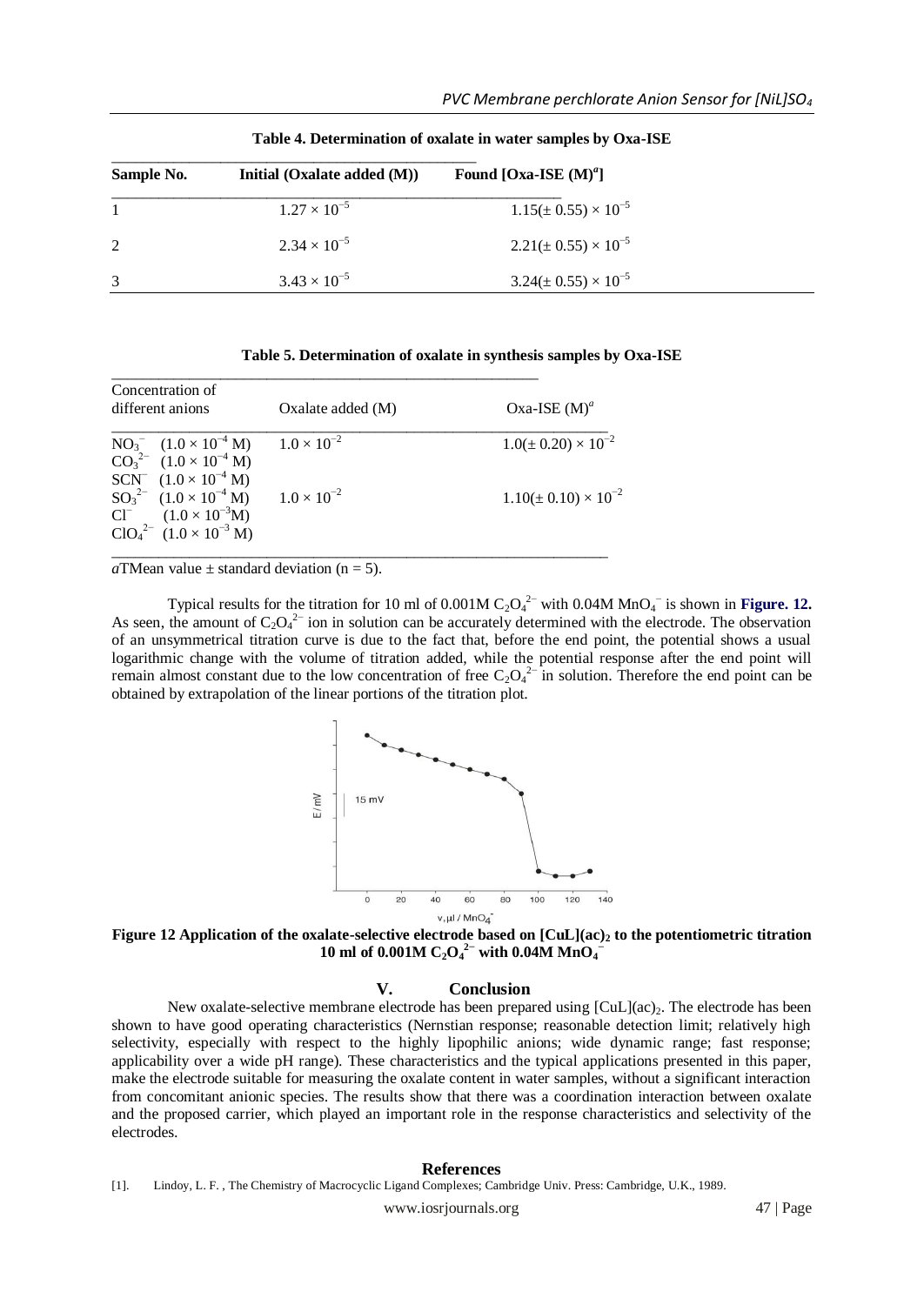| Sample No. | Initial $(Oxalate added (M))$ | Found [Oxa-ISE $(M)^d$ ]        |
|------------|-------------------------------|---------------------------------|
|            | $1.27 \times 10^{-5}$         | $1.15(\pm 0.55) \times 10^{-5}$ |
| 2          | $2.34 \times 10^{-5}$         | $2.21(\pm 0.55) \times 10^{-5}$ |
| 3          | $3.43 \times 10^{-5}$         | $3.24(\pm 0.55) \times 10^{-5}$ |

**Table 4. Determination of oxalate in water samples by Oxa-ISE**

| Table 5. Determination of oxalate in synthesis samples by Oxa-ISE |  |  |  |
|-------------------------------------------------------------------|--|--|--|
|-------------------------------------------------------------------|--|--|--|

| Concentration of<br>different anions                                                                              | Oxalate added $(M)$  | Oxa-ISE $(M)^a$                 |  |
|-------------------------------------------------------------------------------------------------------------------|----------------------|---------------------------------|--|
| $NO_3^ (1.0 \times 10^{-4} M)$<br>$CO_3^{2-}$ (1.0 × 10 <sup>-4</sup> M)<br>SCN $(1.0 \times 10^{-4} \text{ M})$  | $1.0 \times 10^{-2}$ | $1.0(\pm 0.20) \times 10^{-2}$  |  |
| $SO_3^{2-}$ $(1.0 \times 10^{-4} \text{ M})$<br>$Cl^{-}$ $(1.0 \times 10^{-3} M)$<br>$ClO42- (1.0 \times 10-3 M)$ | $1.0 \times 10^{-2}$ | $1.10(\pm 0.10) \times 10^{-2}$ |  |

\_\_\_\_\_\_\_\_\_\_\_\_\_\_\_\_\_\_\_\_\_\_\_\_\_\_\_\_\_\_\_\_\_\_\_\_\_\_\_\_\_\_\_\_\_\_\_\_\_\_\_\_\_\_\_

*a*TMean value  $\pm$  standard deviation (n = 5).

Typical results for the titration for 10 ml of  $0.001M C_2O_4^{2-}$  with  $0.04M MnO_4^{-}$  is shown in **Figure. 12.** As seen, the amount of  $C_2O_4^{2-}$  ion in solution can be accurately determined with the electrode. The observation of an unsymmetrical titration curve is due to the fact that, before the end point, the potential shows a usual logarithmic change with the volume of titration added, while the potential response after the end point will remain almost constant due to the low concentration of free  $C_2O_4^{2-}$  in solution. Therefore the end point can be obtained by extrapolation of the linear portions of the titration plot.



**Figure 12 Application of the oxalate-selective electrode based on [CuL](ac)<sup>2</sup> to the potentiometric titration 10 ml of 0.001M C<sub>2</sub>O<sub>4</sub><sup>2</sup> with 0.04M MnO<sub>4</sub>** 

# **V. Conclusion**

New oxalate-selective membrane electrode has been prepared using  $\lbrack \text{CuL}\rbrack(\text{ac})_2$ . The electrode has been shown to have good operating characteristics (Nernstian response; reasonable detection limit; relatively high selectivity, especially with respect to the highly lipophilic anions; wide dynamic range; fast response; applicability over a wide pH range). These characteristics and the typical applications presented in this paper, make the electrode suitable for measuring the oxalate content in water samples, without a significant interaction from concomitant anionic species. The results show that there was a coordination interaction between oxalate and the proposed carrier, which played an important role in the response characteristics and selectivity of the electrodes.

#### **References**

<sup>[1].</sup> Lindoy, L. F. , The Chemistry of Macrocyclic Ligand Complexes; Cambridge Univ. Press: Cambridge, U.K., 1989.